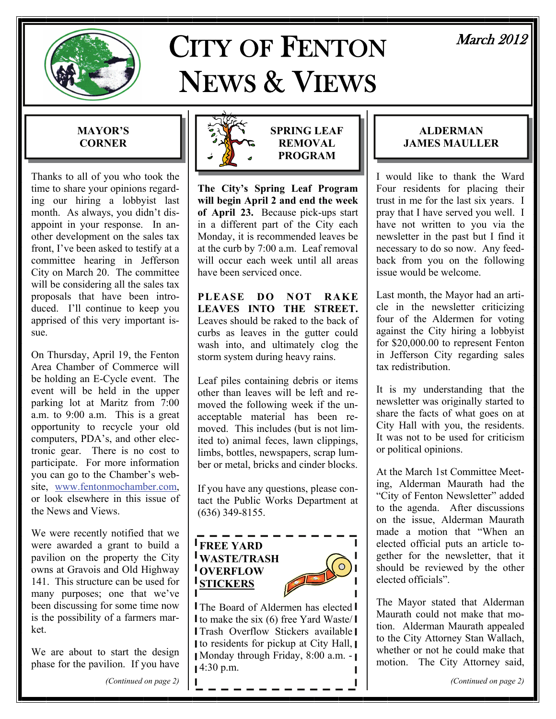

# CITY OF FENTON NEWS & VIEWS

# March 2012

### **MAYOR'S CORNER**

Thanks to all of you who took the time to share your opinions regarding our hiring a lobbyist last month. As always, you didn't disappoint in your response. In another development on the sales tax front, I've been asked to testify at a committee hearing in Jefferson City on March 20. The committee will be considering all the sales tax proposals that have been introduced. I'll continue to keep you apprised of this very important issue.

On Thursday, April 19, the Fenton Area Chamber of Commerce will be holding an E-Cycle event. The event will be held in the upper parking lot at Maritz from 7:00 a.m. to 9:00 a.m. This is a great opportunity to recycle your old computers, PDA's, and other electronic gear. There is no cost to participate. For more information you can go to the Chamber's website, [www.fentonmochamber.com](http://www.fentonmochamber.com/), or look elsewhere in this issue of the News and Views.

We were recently notified that we were awarded a grant to build a pavilion on the property the City owns at Gravois and Old Highway 141. This structure can be used for many purposes; one that we've been discussing for some time now is the possibility of a farmers market.

We are about to start the design phase for the pavilion. If you have





**SPRING LEAF REMOVAL PROGRAM** 

**The City's Spring Leaf Program will begin April 2 and end the week of April 23.** Because pick-ups start in a different part of the City each Monday, it is recommended leaves be at the curb by 7:00 a.m. Leaf removal will occur each week until all areas have been serviced once.

**PLEASE DO NOT RAKE LEAVES INTO THE STREET.** Leaves should be raked to the back of curbs as leaves in the gutter could wash into, and ultimately clog the storm system during heavy rains.

Leaf piles containing debris or items other than leaves will be left and removed the following week if the unacceptable material has been removed. This includes (but is not limited to) animal feces, lawn clippings, limbs, bottles, newspapers, scrap lumber or metal, bricks and cinder blocks.

If you have any questions, please contact the Public Works Department at (636) 349-8155.



**The Board of Aldermen has elected I** I to make the six  $(6)$  free Yard Waste/I Trash Overflow Stickers available Ito residents for pickup at City Hall,  $\blacksquare$ Monday through Friday, 8:00 a.m. -  $14:30$  p.m.

### **ALDERMAN JAMES MAULLER**

I would like to thank the Ward Four residents for placing their trust in me for the last six years. I pray that I have served you well. I have not written to you via the newsletter in the past but I find it necessary to do so now. Any feedback from you on the following issue would be welcome.

Last month, the Mayor had an article in the newsletter criticizing four of the Aldermen for voting against the City hiring a lobbyist for \$20,000.00 to represent Fenton in Jefferson City regarding sales tax redistribution.

It is my understanding that the newsletter was originally started to share the facts of what goes on at City Hall with you, the residents. It was not to be used for criticism or political opinions.

At the March 1st Committee Meeting, Alderman Maurath had the "City of Fenton Newsletter" added to the agenda. After discussions on the issue, Alderman Maurath made a motion that "When an elected official puts an article together for the newsletter, that it should be reviewed by the other elected officials".

The Mayor stated that Alderman Maurath could not make that motion. Alderman Maurath appealed to the City Attorney Stan Wallach, whether or not he could make that motion. The City Attorney said,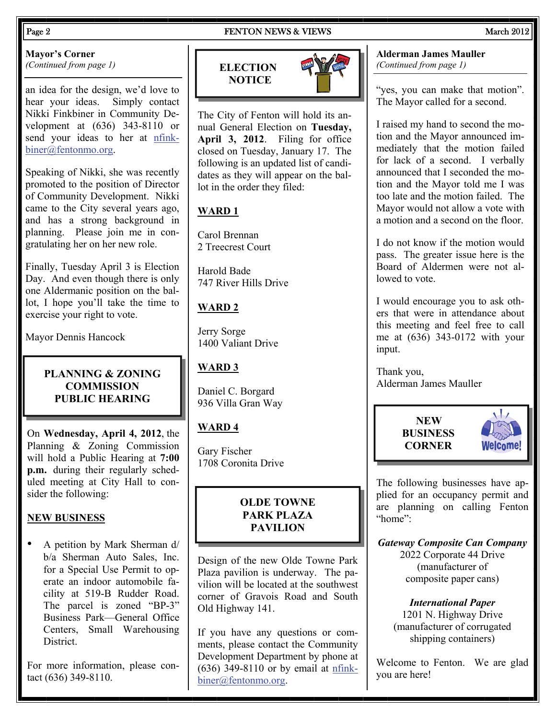#### Page 2 **FENTON NEWS & VIEWS** March 2012

# **Mayor's Corner**

*(Continued from page 1)* 

an idea for the design, we'd love to hear your ideas. Simply contact Nikki Finkbiner in Community Development at (636) 343-8110 or send your ideas to her at [nfink](mailto:nfinkbeiner@fentonmo.org)[biner@fentonmo.org](mailto:nfinkbeiner@fentonmo.org).

Speaking of Nikki, she was recently promoted to the position of Director of Community Development. Nikki came to the City several years ago, and has a strong background in planning. Please join me in congratulating her on her new role.

Finally, Tuesday April 3 is Election Day. And even though there is only one Aldermanic position on the ballot, I hope you'll take the time to exercise your right to vote.

Mayor Dennis Hancock

#### **PLANNING & ZONING COMMISSION PUBLIC HEARING**

On **Wednesday, April 4, 2012**, the Planning & Zoning Commission will hold a Public Hearing at **7:00 p.m.** during their regularly scheduled meeting at City Hall to consider the following:

### **NEW BUSINESS**

• A petition by Mark Sherman d/ b/a Sherman Auto Sales, Inc. for a Special Use Permit to operate an indoor automobile facility at 519-B Rudder Road. The parcel is zoned "BP-3" Business Park—General Office Centers, Small Warehousing District.

For more information, please contact (636) 349-8110.

# **ELECTION NOTICE**



The City of Fenton will hold its annual General Election on **Tuesday, April 3, 2012**. Filing for office closed on Tuesday, January 17. The following is an updated list of candidates as they will appear on the ballot in the order they filed:

# **WARD 1**

Carol Brennan 2 Treecrest Court

Harold Bade 747 River Hills Drive

# **WARD 2**

Jerry Sorge 1400 Valiant Drive

# **WARD 3**

Daniel C. Borgard 936 Villa Gran Way

# **WARD 4**

Gary Fischer 1708 Coronita Drive

### **OLDE TOWNE PARK PLAZA PAVILION**

Design of the new Olde Towne Park Plaza pavilion is underway. The pavilion will be located at the southwest corner of Gravois Road and South Old Highway 141.

If you have any questions or comments, please contact the Community Development Department by phone at (636) 349-8110 or by email at [nfink](mailto:nfinkbiner@fentonmo.org)[biner@fentonmo.org](mailto:nfinkbiner@fentonmo.org).

#### **Alderman James Mauller**  *(Continued from page 1)*

"yes, you can make that motion". The Mayor called for a second.

I raised my hand to second the motion and the Mayor announced immediately that the motion failed for lack of a second. I verbally announced that I seconded the motion and the Mayor told me I was too late and the motion failed. The Mayor would not allow a vote with a motion and a second on the floor.

I do not know if the motion would pass. The greater issue here is the Board of Aldermen were not allowed to vote.

I would encourage you to ask others that were in attendance about this meeting and feel free to call me at (636) 343-0172 with your input.

Thank you, Alderman James Mauller





The following businesses have applied for an occupancy permit and are planning on calling Fenton "home":

*Gateway Composite Can Company*  2022 Corporate 44 Drive (manufacturer of composite paper cans)

*International Paper*  1201 N. Highway Drive (manufacturer of corrugated shipping containers)

Welcome to Fenton. We are glad you are here!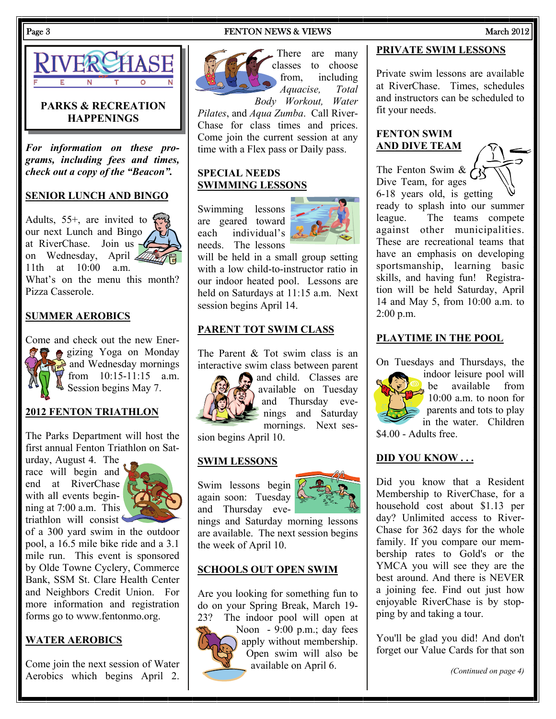#### Page 3 **FENTON NEWS & VIEWS** March 2012



#### **PARKS & RECREATION HAPPENINGS**

*For information on these programs, including fees and times, check out a copy of the "Beacon".* 

#### **SENIOR LUNCH AND BINGO**

Adults, 55+, are invited to our next Lunch and Bingo at RiverChase. Join us on Wednesday, April 11th at 10:00 a.m.

What's on the menu this month? Pizza Casserole.

#### **SUMMER AEROBICS**

Come and check out the new Energizing Yoga on Monday and Wednesday mornings  $\sqrt{r}$  from 10:15-11:15 a.m. Session begins May 7.

#### **2012 FENTON TRIATHLON**

The Parks Department will host the first annual Fenton Triathlon on Saturday, August 4. The

race will begin and end at RiverChase with all events beginning at 7:00 a.m. This triathlon will consist



of a 300 yard swim in the outdoor pool, a 16.5 mile bike ride and a 3.1 mile run. This event is sponsored by Olde Towne Cyclery, Commerce Bank, SSM St. Clare Health Center and Neighbors Credit Union. For more information and registration forms go to www.fentonmo.org.

#### **WATER AEROBICS**

Come join the next session of Water Aerobics which begins April 2.



There are many classes to choose from, including *Aquacise, Total* 

*Body Workout, Water Pilates*, and *Aqua Zumba*. Call River-Chase for class times and prices. Come join the current session at any time with a Flex pass or Daily pass.

#### **SPECIAL NEEDS SWIMMING LESSONS**

Swimming lessons are geared toward each individual's needs. The lessons



will be held in a small group setting with a low child-to-instructor ratio in our indoor heated pool. Lessons are held on Saturdays at 11:15 a.m. Next session begins April 14.

#### **PARENT TOT SWIM CLASS**

The Parent & Tot swim class is an interactive swim class between parent



and child. Classes are available on Tuesday and Thursday evenings and Saturday mornings. Next ses-

sion begins April 10.

#### **SWIM LESSONS**

Swim lessons begin again soon: Tuesday and Thursday eve-



nings and Saturday morning lessons are available. The next session begins the week of April 10.

#### **SCHOOLS OUT OPEN SWIM**

Are you looking for something fun to do on your Spring Break, March 19- 23? The indoor pool will open at



Noon - 9:00 p.m.; day fees apply without membership. Open swim will also be available on April 6.

#### **PRIVATE SWIM LESSONS**

Private swim lessons are available at RiverChase. Times, schedules and instructors can be scheduled to fit your needs.

#### **FENTON SWIM AND DIVE TEAM**

The Fenton Swim & Dive Team, for ages 6-18 years old, is getting ready to splash into our summer league. The teams compete against other municipalities. These are recreational teams that have an emphasis on developing sportsmanship, learning basic skills, and having fun! Registration will be held Saturday, April 14 and May 5, from 10:00 a.m. to 2:00 p.m.

#### **PLAYTIME IN THE POOL**

On Tuesdays and Thursdays, the



indoor leisure pool will be available from 10:00 a.m. to noon for parents and tots to play in the water. Children

\$4.00 - Adults free.

#### **DID YOU KNOW . . .**

Did you know that a Resident Membership to RiverChase, for a household cost about \$1.13 per day? Unlimited access to River-Chase for 362 days for the whole family. If you compare our membership rates to Gold's or the YMCA you will see they are the best around. And there is NEVER a joining fee. Find out just how enjoyable RiverChase is by stopping by and taking a tour.

You'll be glad you did! And don't forget our Value Cards for that son

*(Continued on page 4)*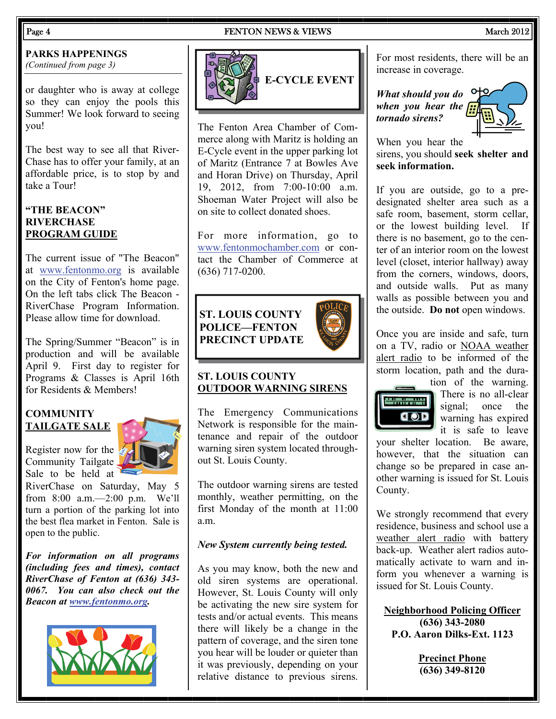#### Page 4 **FENTON NEWS & VIEWS** March 2012

#### **PARKS HAPPENINGS**

or daughter who is away at college so they can enjoy the pools this Summer! We look forward to seeing you!

The best way to see all that River-Chase has to offer your family, at an affordable price, is to stop by and take a Tour!

### **"THE BEACON" RIVERCHASE PROGRAM GUIDE**

The current issue of "The Beacon" at [www.fentonmo.org](http://www.fentonmo.org) is available on the City of Fenton's home page. On the left tabs click The Beacon - RiverChase Program Information. Please allow time for download.

The Spring/Summer "Beacon" is in production and will be available April 9. First day to register for Programs & Classes is April 16th for Residents & Members!

#### **COMMUNITY TAILGATE SALE**

Register now for the Community Tailgate. Sale to be held at



RiverChase on Saturday, May 5 from 8:00 a.m.—2:00 p.m. We'll turn a portion of the parking lot into the best flea market in Fenton. Sale is open to the public.

*For information on all programs (including fees and times), contact RiverChase of Fenton at (636) 343- 0067. You can also check out the Beacon at [www.fentonmo.org](http://www.fentonmo.org).*





The Fenton Area Chamber of Commerce along with Maritz is holding an E-Cycle event in the upper parking lot of Maritz (Entrance 7 at Bowles Ave and Horan Drive) on Thursday, April 19, 2012, from 7:00-10:00 a.m. Shoeman Water Project will also be on site to collect donated shoes.

For more information, go to [www.fentonmochamber.com](http://www.fentonmochamber.calendar) or contact the Chamber of Commerce at (636) 717-0200.

# **ST. LOUIS COUNTY POLICE—FENTON PRECINCT UPDATE**



#### **ST. LOUIS COUNTY OUTDOOR WARNING SIRENS**

The Emergency Communications Network is responsible for the maintenance and repair of the outdoor warning siren system located throughout St. Louis County.

The outdoor warning sirens are tested monthly, weather permitting, on the first Monday of the month at 11:00 a.m.

### *New System currently being tested.*

As you may know, both the new and old siren systems are operational. However, St. Louis County will only be activating the new sire system for tests and/or actual events. This means there will likely be a change in the pattern of coverage, and the siren tone you hear will be louder or quieter than it was previously, depending on your relative distance to previous sirens.

**PARKS HAPPENINGS**  $(Continued from page 3)$   $[1, 3]$   $[2, 4]$   $[3, 5]$   $[4, 6]$   $[5, 6]$   $[6, 7]$   $[6, 7]$   $[7, 6]$   $[8, 7]$   $[9, 7]$   $[1, 6]$   $[1, 6]$   $[1, 6]$   $[1, 6]$   $[1, 6]$   $[1, 6]$   $[1, 6]$   $[1, 6]$   $[1, 6]$   $[1, 6]$   $[1, 6]$   $[$ increase in coverage.

> *What should you do when you hear the tornado sirens?*



When you hear the sirens, you should **seek shelter and seek information.**

If you are outside, go to a predesignated shelter area such as a safe room, basement, storm cellar, or the lowest building level. If there is no basement, go to the center of an interior room on the lowest level (closet, interior hallway) away from the corners, windows, doors, and outside walls. Put as many walls as possible between you and the outside. **Do not** open windows.

Once you are inside and safe, turn on a TV, radio or NOAA weather alert radio to be informed of the storm location, path and the dura-



tion of the warning. There is no all-clear signal; once the warning has expired it is safe to leave

your shelter location. Be aware, however, that the situation can change so be prepared in case another warning is issued for St. Louis County.

We strongly recommend that every residence, business and school use a weather alert radio with battery back-up. Weather alert radios automatically activate to warn and inform you whenever a warning is issued for St. Louis County.

**Neighborhood Policing Officer (636) 343-2080 P.O. Aaron Dilks-Ext. 1123** 

> **Precinct Phone (636) 349-8120**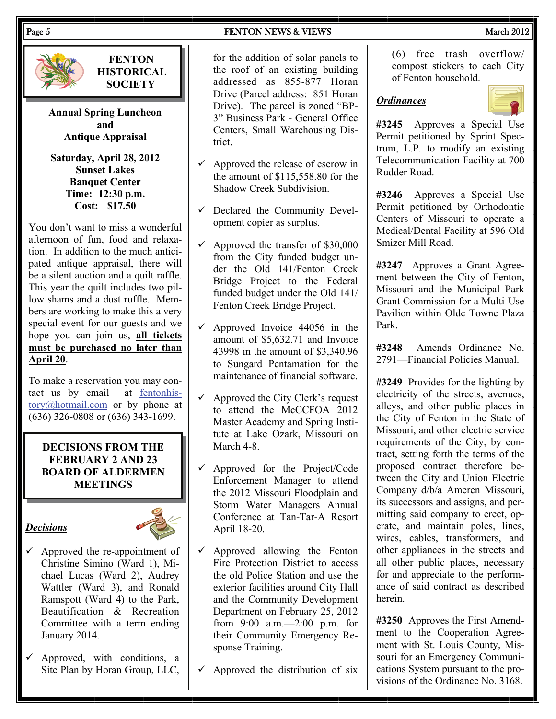**FENTON HISTORICAL SOCIETY** 

**Annual Spring Luncheon and Antique Appraisal** 

**Saturday, April 28, 2012 Sunset Lakes Banquet Center Time: 12:30 p.m. Cost: \$17.50** 

You don't want to miss a wonderful afternoon of fun, food and relaxation. In addition to the much anticipated antique appraisal, there will be a silent auction and a quilt raffle. This year the quilt includes two pillow shams and a dust ruffle. Members are working to make this a very special event for our guests and we hope you can join us, **all tickets must be purchased no later than April 20**.

To make a reservation you may contact us by email at [fentonhis](mailto:fentonhistory@hotmail.com)[tory@hotmail.com](mailto:fentonhistory@hotmail.com) or by phone at (636) 326-0808 or (636) 343-1699.

### **DECISIONS FROM THE FEBRUARY 2 AND 23 BOARD OF ALDERMEN MEETINGS**

#### *Decisions*



- $\checkmark$  Approved the re-appointment of Christine Simino (Ward 1), Michael Lucas (Ward 2), Audrey Wattler (Ward 3), and Ronald Ramspott (Ward 4) to the Park, Beautification & Recreation Committee with a term ending January 2014.
- $\checkmark$  Approved, with conditions, a Site Plan by Horan Group, LLC,

for the addition of solar panels to the roof of an existing building addressed as 855-877 Horan Drive (Parcel address: 851 Horan Drive). The parcel is zoned "BP-3" Business Park - General Office Centers, Small Warehousing District.

- $\checkmark$  Approved the release of escrow in the amount of \$115,558.80 for the Shadow Creek Subdivision.
- $\checkmark$  Declared the Community Development copier as surplus.
- $\checkmark$  Approved the transfer of \$30,000 from the City funded budget under the Old 141/Fenton Creek Bridge Project to the Federal funded budget under the Old 141/ Fenton Creek Bridge Project.
- $\checkmark$  Approved Invoice 44056 in the amount of \$5,632.71 and Invoice 43998 in the amount of \$3,340.96 to Sungard Pentamation for the maintenance of financial software.
- $\checkmark$  Approved the City Clerk's request to attend the McCCFOA 2012 Master Academy and Spring Institute at Lake Ozark, Missouri on March 4-8.
- $\checkmark$  Approved for the Project/Code Enforcement Manager to attend the 2012 Missouri Floodplain and Storm Water Managers Annual Conference at Tan-Tar-A Resort April 18-20.
- $\checkmark$  Approved allowing the Fenton Fire Protection District to access the old Police Station and use the exterior facilities around City Hall and the Community Development Department on February 25, 2012 from 9:00 a.m.—2:00 p.m. for their Community Emergency Response Training.
- $\checkmark$  Approved the distribution of six

(6) free trash overflow/ compost stickers to each City of Fenton household.

#### *Ordinances*



**#3245** Approves a Special Use Permit petitioned by Sprint Spectrum, L.P. to modify an existing Telecommunication Facility at 700 Rudder Road.

**#3246** Approves a Special Use Permit petitioned by Orthodontic Centers of Missouri to operate a Medical/Dental Facility at 596 Old Smizer Mill Road.

**#3247** Approves a Grant Agreement between the City of Fenton, Missouri and the Municipal Park Grant Commission for a Multi-Use Pavilion within Olde Towne Plaza Park.

**#3248** Amends Ordinance No. 2791—Financial Policies Manual.

**#3249** Provides for the lighting by electricity of the streets, avenues, alleys, and other public places in the City of Fenton in the State of Missouri, and other electric service requirements of the City, by contract, setting forth the terms of the proposed contract therefore between the City and Union Electric Company d/b/a Ameren Missouri, its successors and assigns, and permitting said company to erect, operate, and maintain poles, lines, wires, cables, transformers, and other appliances in the streets and all other public places, necessary for and appreciate to the performance of said contract as described herein.

**#3250** Approves the First Amendment to the Cooperation Agreement with St. Louis County, Missouri for an Emergency Communications System pursuant to the provisions of the Ordinance No. 3168.